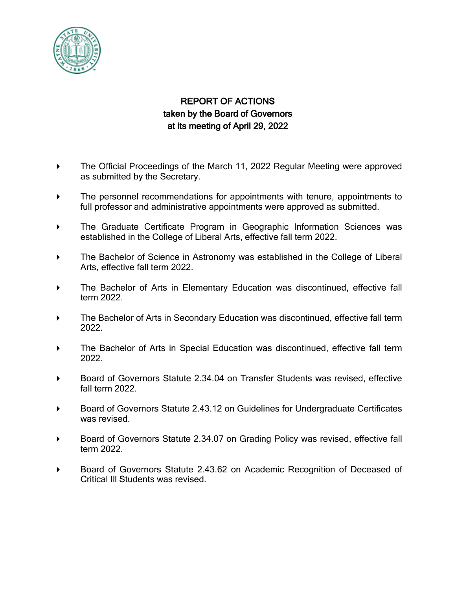

## REPORT OF ACTIONS taken by the Board of Governors at its meeting of April 29, 2022

- The Official Proceedings of the March 11, 2022 Regular Meeting were approved as submitted by the Secretary.
- The personnel recommendations for appointments with tenure, appointments to full professor and administrative appointments were approved as submitted.
- The Graduate Certificate Program in Geographic Information Sciences was established in the College of Liberal Arts, effective fall term 2022.
- **The Bachelor of Science in Astronomy was established in the College of Liberal** Arts, effective fall term 2022.
- The Bachelor of Arts in Elementary Education was discontinued, effective fall term 2022.
- **The Bachelor of Arts in Secondary Education was discontinued, effective fall term** 2022.
- The Bachelor of Arts in Special Education was discontinued, effective fall term 2022.
- Board of Governors Statute 2.34.04 on Transfer Students was revised, effective fall term 2022.
- Board of Governors Statute 2.43.12 on Guidelines for Undergraduate Certificates was revised.
- Board of Governors Statute 2.34.07 on Grading Policy was revised, effective fall term 2022.
- Board of Governors Statute 2.43.62 on Academic Recognition of Deceased of Critical Ill Students was revised.